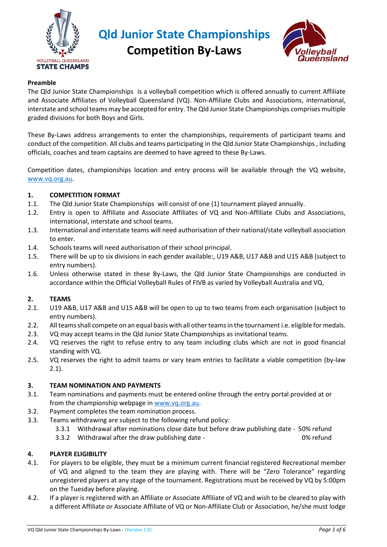

**Competition By-Laws**



## **Preamble**

The Qld Junior State Championships is a volleyball competition which is offered annually to current Affiliate and Associate Affiliates of Volleyball Queensland (VQ). Non-Affiliate Clubs and Associations, international, interstate and school teams may be accepted for entry. The Qld Junior State Championships comprises multiple graded divisions for both Boys and Girls.

These By-Laws address arrangements to enter the championships, requirements of participant teams and conduct of the competition. All clubs and teams participating in the Qld Junior State Championships , including officials, coaches and team captains are deemed to have agreed to these By-Laws.

Competition dates, championships location and entry process will be available through the VQ website, [www.vq.org.au.](http://www.vq.org.au/)

#### **1. COMPETITION FORMAT**

- 1.1. The Qld Junior State Championships will consist of one (1) tournament played annually.
- 1.2. Entry is open to Affiliate and Associate Affiliates of VQ and Non-Affiliate Clubs and Associations, international, interstate and school teams.
- 1.3. International and interstate teams will need authorisation of their national/state volleyball association to enter.
- 1.4. Schools teams will need authorisation of their school principal.
- 1.5. There will be up to six divisions in each gender available:, U19 A&B, U17 A&B and U15 A&B (subject to entry numbers).
- 1.6. Unless otherwise stated in these By-Laws, the Qld Junior State Championships are conducted in accordance within the Official Volleyball Rules of FIVB as varied by Volleyball Australia and VQ.

#### **2. TEAMS**

- 2.1. U19 A&B, U17 A&B and U15 A&B will be open to up to two teams from each organisation (subject to entry numbers).
- 2.2. All teamsshall compete on an equal basis with all other teams in the tournament i.e. eligible for medals.
- 2.3. VQ may accept teams in the Qld Junior State Championships as invitational teams.
- 2.4. VQ reserves the right to refuse entry to any team including clubs which are not in good financial standing with VQ.
- 2.5. VQ reserves the right to admit teams or vary team entries to facilitate a viable competition (by-law 2.1).

## **3. TEAM NOMINATION AND PAYMENTS**

- 3.1. Team nominations and payments must be entered online through the entry portal provided at or from the championship webpage i[n www.vq.org.au.](http://www.vq.org.au/)
- 3.2. Payment completes the team nomination process.
- 3.3. Teams withdrawing are subject to the following refund policy:
	- 3.3.1 Withdrawal after nominations close date but before draw publishing date 50% refund
	- 3.3.2 Withdrawal after the draw publishing date 0% refund

## **4. PLAYER ELIGIBILITY**

- 4.1. For players to be eligible, they must be a minimum current financial registered Recreational member of VQ and aligned to the team they are playing with. There will be "Zero Tolerance" regarding unregistered players at any stage of the tournament. Registrations must be received by VQ by 5:00pm on the Tuesday before playing.
- 4.2. If a player is registered with an Affiliate or Associate Affiliate of VQ and wish to be cleared to play with a different Affiliate or Associate Affiliate of VQ or Non-Affiliate Club or Association, he/she must lodge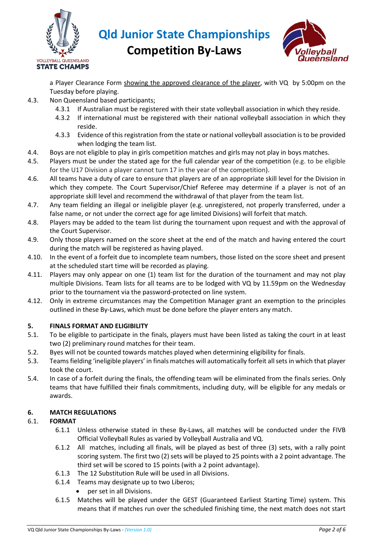



**Competition By-Laws**

a Player Clearance Form showing the approved clearance of the player, with VQ by 5:00pm on the Tuesday before playing.

- 4.3. Non Queensland based participants;
	- 4.3.1 If Australian must be registered with their state volleyball association in which they reside.
	- 4.3.2 If international must be registered with their national volleyball association in which they reside.
	- 4.3.3 Evidence of this registration from the state or national volleyball association is to be provided when lodging the team list.
- 4.4. Boys are not eligible to play in girls competition matches and girls may not play in boys matches.
- 4.5. Players must be under the stated age for the full calendar year of the competition (e.g. to be eligible for the U17 Division a player cannot turn 17 in the year of the competition).
- 4.6. All teams have a duty of care to ensure that players are of an appropriate skill level for the Division in which they compete. The Court Supervisor/Chief Referee may determine if a player is not of an appropriate skill level and recommend the withdrawal of that player from the team list.
- 4.7. Any team fielding an illegal or ineligible player (e.g. unregistered, not properly transferred, under a false name, or not under the correct age for age limited Divisions) will forfeit that match.
- 4.8. Players may be added to the team list during the tournament upon request and with the approval of the Court Supervisor.
- 4.9. Only those players named on the score sheet at the end of the match and having entered the court during the match will be registered as having played.
- 4.10. In the event of a forfeit due to incomplete team numbers, those listed on the score sheet and present at the scheduled start time will be recorded as playing.
- 4.11. Players may only appear on one (1) team list for the duration of the tournament and may not play multiple Divisions. Team lists for all teams are to be lodged with VQ by 11.59pm on the Wednesday prior to the tournament via the password-protected on line system.
- 4.12. Only in extreme circumstances may the Competition Manager grant an exemption to the principles outlined in these By-Laws, which must be done before the player enters any match.

## **5. FINALS FORMAT AND ELIGIBILITY**

- 5.1. To be eligible to participate in the finals, players must have been listed as taking the court in at least two (2) preliminary round matches for their team.
- 5.2. Byes will not be counted towards matches played when determining eligibility for finals.
- 5.3. Teams fielding 'ineligible players' in finals matches will automatically forfeit all sets in which that player took the court.
- 5.4. In case of a forfeit during the finals, the offending team will be eliminated from the finals series. Only teams that have fulfilled their finals commitments, including duty, will be eligible for any medals or awards.

# **6. MATCH REGULATIONS**

## 6.1. **FORMAT**

- 6.1.1 Unless otherwise stated in these By-Laws, all matches will be conducted under the FIVB Official Volleyball Rules as varied by Volleyball Australia and VQ.
- 6.1.2 All matches, including all finals, will be played as best of three (3) sets, with a rally point scoring system. The first two (2) sets will be played to 25 points with a 2 point advantage. The third set will be scored to 15 points (with a 2 point advantage).
- 6.1.3 The 12 Substitution Rule will be used in all Divisions.
- 6.1.4 Teams may designate up to two Liberos;
	- per set in all Divisions.
- 6.1.5 Matches will be played under the GEST (Guaranteed Earliest Starting Time) system. This means that if matches run over the scheduled finishing time, the next match does not start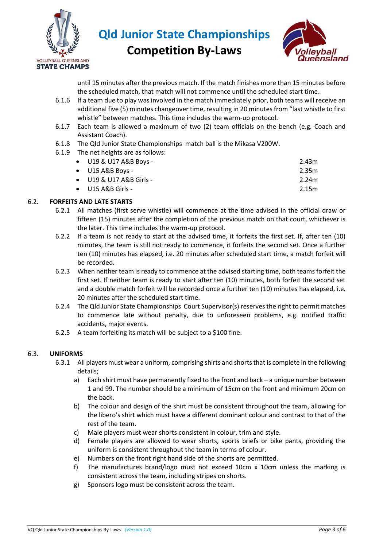

**Competition By-Laws**



until 15 minutes after the previous match. If the match finishes more than 15 minutes before the scheduled match, that match will not commence until the scheduled start time.

- 6.1.6 If a team due to play was involved in the match immediately prior, both teams will receive an additional five (5) minutes changeover time, resulting in 20 minutes from "last whistle to first whistle" between matches. This time includes the warm-up protocol.
- 6.1.7 Each team is allowed a maximum of two (2) team officials on the bench (e.g. Coach and Assistant Coach).
- 6.1.8 The Qld Junior State Championships match ball is the Mikasa V200W.
- 6.1.9 The net heights are as follows:

| $\bullet$ U19 & U17 A&B Boys -  | 2.43m |
|---------------------------------|-------|
| $\bullet$ U15 A&B Boys -        | 2.35m |
| $\bullet$ U19 & U17 A&B Girls - | 2.24m |
| $\bullet$ U15 A&B Girls -       | 2.15m |
|                                 |       |

# 6.2. **FORFEITS AND LATE STARTS**

- 6.2.1 All matches (first serve whistle) will commence at the time advised in the official draw or fifteen (15) minutes after the completion of the previous match on that court, whichever is the later. This time includes the warm-up protocol.
- 6.2.2 If a team is not ready to start at the advised time, it forfeits the first set. If, after ten (10) minutes, the team is still not ready to commence, it forfeits the second set. Once a further ten (10) minutes has elapsed, i.e. 20 minutes after scheduled start time, a match forfeit will be recorded.
- 6.2.3 When neither team is ready to commence at the advised starting time, both teams forfeit the first set. If neither team is ready to start after ten (10) minutes, both forfeit the second set and a double match forfeit will be recorded once a further ten (10) minutes has elapsed, i.e. 20 minutes after the scheduled start time.
- 6.2.4 The Qld Junior State Championships Court Supervisor(s) reserves the right to permit matches to commence late without penalty, due to unforeseen problems, e.g. notified traffic accidents, major events.
- 6.2.5 A team forfeiting its match will be subject to a \$100 fine.

## 6.3. **UNIFORMS**

- 6.3.1 All players must wear a uniform, comprising shirts and shorts that is complete in the following details;
	- a) Each shirt must have permanently fixed to the front and back a unique number between 1 and 99. The number should be a minimum of 15cm on the front and minimum 20cm on the back.
	- b) The colour and design of the shirt must be consistent throughout the team, allowing for the libero's shirt which must have a different dominant colour and contrast to that of the rest of the team.
	- c) Male players must wear shorts consistent in colour, trim and style.
	- d) Female players are allowed to wear shorts, sports briefs or bike pants, providing the uniform is consistent throughout the team in terms of colour.
	- e) Numbers on the front right hand side of the shorts are permitted.
	- f) The manufactures brand/logo must not exceed 10cm x 10cm unless the marking is consistent across the team, including stripes on shorts.
	- g) Sponsors logo must be consistent across the team.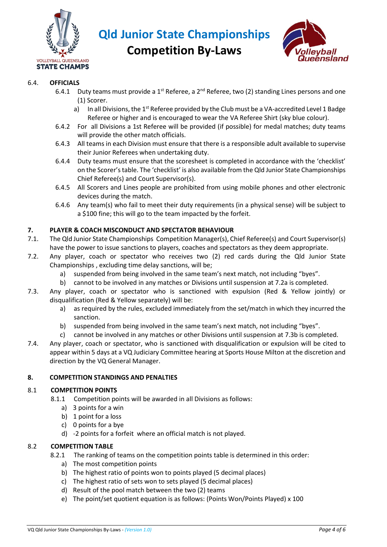

**Competition By-Laws**



## 6.4. **OFFICIALS**

- 6.4.1 Duty teams must provide a 1<sup>st</sup> Referee, a 2<sup>nd</sup> Referee, two (2) standing Lines persons and one (1) Scorer.
	- a) In all Divisions, the 1<sup>st</sup> Referee provided by the Club must be a VA-accredited Level 1 Badge Referee or higher and is encouraged to wear the VA Referee Shirt (sky blue colour).
- 6.4.2 For all Divisions a 1st Referee will be provided (if possible) for medal matches; duty teams will provide the other match officials.
- 6.4.3 All teams in each Division must ensure that there is a responsible adult available to supervise their Junior Referees when undertaking duty.
- 6.4.4 Duty teams must ensure that the scoresheet is completed in accordance with the 'checklist' on the Scorer's table. The 'checklist' is also available from the Qld Junior State Championships Chief Referee(s) and Court Supervisor(s).
- 6.4.5 All Scorers and Lines people are prohibited from using mobile phones and other electronic devices during the match.
- 6.4.6 Any team(s) who fail to meet their duty requirements (in a physical sense) will be subject to a \$100 fine; this will go to the team impacted by the forfeit.

# **7. PLAYER & COACH MISCONDUCT AND SPECTATOR BEHAVIOUR**

- 7.1. The Qld Junior State Championships Competition Manager(s), Chief Referee(s) and Court Supervisor(s) have the power to issue sanctions to players, coaches and spectators as they deem appropriate.
- 7.2. Any player, coach or spectator who receives two (2) red cards during the Qld Junior State Championships , excluding time delay sanctions, will be;
	- a) suspended from being involved in the same team's next match, not including "byes".
	- b) cannot to be involved in any matches or Divisions until suspension at 7.2a is completed.
- 7.3. Any player, coach or spectator who is sanctioned with expulsion (Red & Yellow jointly) or disqualification (Red & Yellow separately) will be:
	- a) as required by the rules, excluded immediately from the set/match in which they incurred the sanction.
	- b) suspended from being involved in the same team's next match, not including "byes".
	- c) cannot be involved in any matches or other Divisions until suspension at 7.3b is completed.
- 7.4. Any player, coach or spectator, who is sanctioned with disqualification or expulsion will be cited to appear within 5 days at a VQ Judiciary Committee hearing at Sports House Milton at the discretion and direction by the VQ General Manager.

## **8. COMPETITION STANDINGS AND PENALTIES**

## 8.1 **COMPETITION POINTS**

- 8.1.1 Competition points will be awarded in all Divisions as follows:
	- a) 3 points for a win
	- b) 1 point for a loss
	- c) 0 points for a bye
	- d) -2 points for a forfeit where an official match is not played.

## 8.2 **COMPETITION TABLE**

- 8.2.1 The ranking of teams on the competition points table is determined in this order:
	- a) The most competition points
	- b) The highest ratio of points won to points played (5 decimal places)
	- c) The highest ratio of sets won to sets played (5 decimal places)
	- d) Result of the pool match between the two (2) teams
	- e) The point/set quotient equation is as follows: (Points Won/Points Played) x 100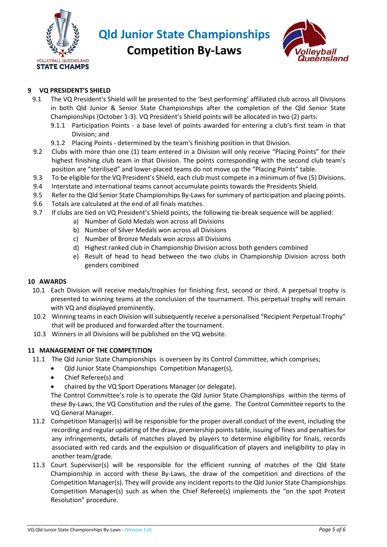

**Competition By-Laws**



# **9 VQ PRESIDENT'S SHIELD**

- 9.1 The VQ President's Shield will be presented to the 'best performing' affiliated club across all Divisions in both Qld Junior & Senior State Championships after the completion of the Qld Senior State Championships (October 1-3). VQ President's Shield points will be allocated in two (2) parts:
	- 9.1.1 Participation Points a base level of points awarded for entering a club's first team in that Division; and
	- 9.1.2 Placing Points determined by the team's finishing position in that Division.
- 9.2 Clubs with more than one (1) team entered in a Division will only receive "Placing Points" for their highest finishing club team in that Division. The points corresponding with the second club team's position are "sterilised" and lower-placed teams do not move up the "Placing Points" table.
- 9.3 To be eligible for the VQ President's Shield, each club must compete in a minimum of five (5) Divisions.
- 9.4 Interstate and international teams cannot accumulate points towards the Presidents Shield.
- 9.5 Refer to the Qld Senior State Championships By-Laws for summary of participation and placing points.
- 9.6 Totals are calculated at the end of all finals matches.
- 9.7 If clubs are tied on VQ President's Shield points, the following tie-break sequence will be applied:
	- a) Number of Gold Medals won across all Divisions
	- b) Number of Silver Medals won across all Divisions
	- c) Number of Bronze Medals won across all Divisions
	- d) Highest ranked club in Championship Division across both genders combined
	- e) Result of head to head between the two clubs in Championship Division across both genders combined

## **10 AWARDS**

- 10.1 Each Division will receive medals/trophies for finishing first, second or third. A perpetual trophy is presented to winning teams at the conclusion of the tournament. This perpetual trophy will remain with VQ and displayed prominently.
- 10.2 Winning teams in each Division will subsequently receive a personalised "Recipient Perpetual Trophy" that will be produced and forwarded after the tournament.
- 10.3 Winners in all Divisions will be published on the VQ website.

## **11 MANAGEMENT OF THE COMPETITION**

- 11.1 The Qld Junior State Championships is overseen by its Control Committee, which comprises;
	- Qld Junior State Championships Competition Manager(s),
	- Chief Referee(s) and
	- chaired by the VQ Sport Operations Manager (or delegate).

The Control Committee's role is to operate the Qld Junior State Championships within the terms of these By-Laws, the VQ Constitution and the rules of the game. The Control Committee reports to the VQ General Manager.

- 11.2 Competition Manager(s) will be responsible for the proper overall conduct of the event, including the recording and regular updating of the draw, premiership points table, issuing of fines and penalties for any infringements, details of matches played by players to determine eligibility for finals, records associated with red cards and the expulsion or disqualification of players and ineligibility to play in another team/grade.
- 11.3 Court Supervisor(s) will be responsible for the efficient running of matches of the Qld State Championship in accord with these By-Laws, the draw of the competition and directions of the Competition Manager(s). They will provide any incident reports to the Qld Junior State Championships Competition Manager(s) such as when the Chief Referee(s) implements the "on the spot Protest Resolution" procedure.